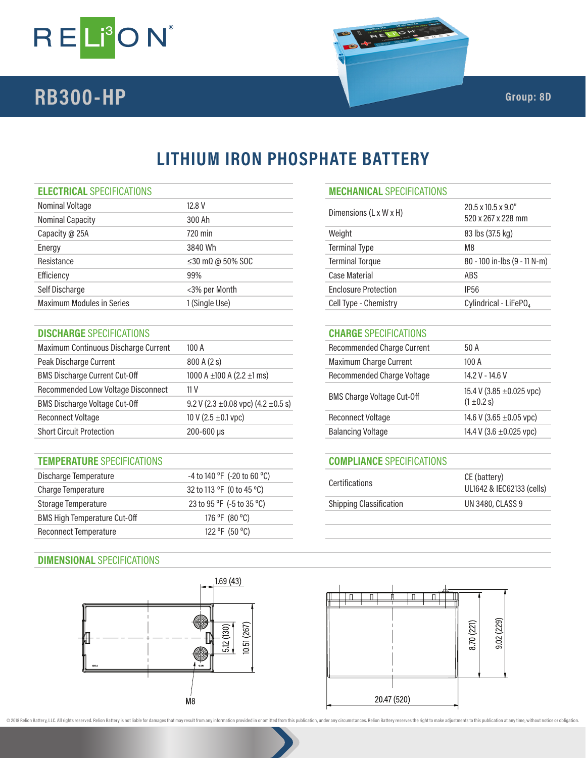

# **RB300-HP** Group: 8D

520 x 267 x 228 mm

## **LITHIUM IRON PHOSPHATE BATTERY**

#### **ELECTRICAL** SPECIFICATIONS **MECHANICAL** SPECIFICATIONS

| Nominal Voltage                  | 12.8 V                         | Dimensions (L x W x H)      | $20.5 \times 10.5 \times 9.0$<br>520 x 267 x 228 |
|----------------------------------|--------------------------------|-----------------------------|--------------------------------------------------|
| <b>Nominal Capacity</b>          | 300 Ah                         |                             |                                                  |
| Capacity @ 25A                   | 720 min                        | Weight                      | 83 lbs (37.5 kg)                                 |
| Energy                           | 3840 Wh                        | <b>Terminal Type</b>        | M8                                               |
| Resistance                       | $\leq$ 30 m $\Omega$ @ 50% SOC | <b>Terminal Torque</b>      | 80 - 100 in-lbs                                  |
| Efficiency                       | 99%                            | Case Material               | ABS                                              |
| Self Discharge                   | <3% per Month                  | <b>Enclosure Protection</b> | IP <sub>56</sub>                                 |
| <b>Maximum Modules in Series</b> | 1 (Single Use)                 | Cell Type - Chemistry       | Cylindrical - Lil                                |
|                                  |                                |                             |                                                  |

#### **DISCHARGE** SPECIFICATIONS **CHARGE** SPECIFICATIONS

| Maximum Continuous Discharge Current | 100A                                         | <b>Recommended Charge Current</b> | 50 A                    |
|--------------------------------------|----------------------------------------------|-----------------------------------|-------------------------|
| Peak Discharge Current               | 800 A (2 s)                                  | Maximum Charge Current            | 100A                    |
| <b>BMS Discharge Current Cut-Off</b> | 1000 A $\pm$ 100 A (2.2 $\pm$ 1 ms)          | Recommended Charge Voltage        | 14.2 V - 14.6 V         |
| Recommended Low Voltage Disconnect   | 11 V                                         | <b>BMS Charge Voltage Cut-Off</b> | 15.4 V (3.85 ±0.025 vpo |
| <b>BMS Discharge Voltage Cut-Off</b> | 9.2 V (2.3 $\pm$ 0.08 vpc) (4.2 $\pm$ 0.5 s) |                                   | $(1 \pm 0.2 s)$         |
| <b>Reconnect Voltage</b>             | 10 V (2.5 $\pm$ 0.1 vpc)                     | <b>Reconnect Voltage</b>          | 14.6 V (3.65 ±0.05 vpc) |
| <b>Short Circuit Protection</b>      | $200 - 600 \,\mu s$                          | <b>Balancing Voltage</b>          | 14.4 V (3.6 ±0.025 vpc) |

### **TEMPERATURE** SPECIFICATIONS **COMPLIANCE** SPECIFICATIONS

| Discharge Temperature               | $-4$ to 140 °F (-20 to 60 °C) | <b>Certifications</b>          | CE (battery)              |
|-------------------------------------|-------------------------------|--------------------------------|---------------------------|
| Charge Temperature                  | 32 to 113 °F (0 to 45 °C)     |                                | UL1642 & IEC62133 (cells) |
| Storage Temperature                 | 23 to 95 °F (-5 to 35 °C)     | <b>Shipping Classification</b> | UN 3480, CLASS 9          |
| <b>BMS High Temperature Cut-Off</b> | 176 °F (80 °C)                |                                |                           |
| Reconnect Temperature               | 122 °F (50 °C)                |                                |                           |



 $M8$ 

## Maximum Charge Current 800 A Recommended Charge Voltage 14.2 V - 14.6 V BMS Charge Voltage Cut-Off  $(3.85 \pm 0.025 \text{ vpc})$

| .                        | $(1 \pm 0.2 s)$              |
|--------------------------|------------------------------|
| Reconnect Voltage        | 14.6 V (3.65 $\pm$ 0.05 vpc) |
| <b>Balancing Voltage</b> | 14.4 V (3.6 ±0.025 vpc)      |
|                          |                              |

Terminal Torque 80 - 100 in-lbs (9 - 11 N-m)

Cell Type - Chemistry Cylindrical - LiFePO<sub>4</sub>

| <b>Certifications</b>          | CE (battery)<br>UL1642 & IEC62133 (cells) |
|--------------------------------|-------------------------------------------|
| <b>Shipping Classification</b> | UN 3480, CLASS 9                          |
|                                |                                           |



@ 2018 Relion Battery, LLC. All rights reserved. Relion Battery is not liable for damages that may result from any information provided in or omitted from this publication, under any circumstances. Relion Battery reserves

 $10.51(267)$